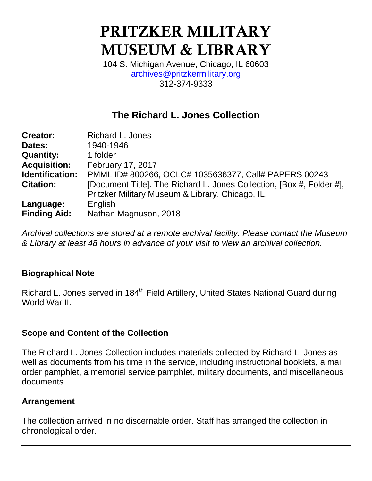# **PRITZKER MILITARY MUSEUM & LIBRARY**

104 S. Michigan Avenue, Chicago, IL 60603 [archives@pritzkermilitary.org](mailto:archives@pritzkermilitary.org) 312-374-9333

## **The Richard L. Jones Collection**

| <b>Creator:</b>     | <b>Richard L. Jones</b>                                               |
|---------------------|-----------------------------------------------------------------------|
| Dates:              | 1940-1946                                                             |
| <b>Quantity:</b>    | 1 folder                                                              |
| <b>Acquisition:</b> | <b>February 17, 2017</b>                                              |
| Identification:     | PMML ID# 800266, OCLC# 1035636377, Call# PAPERS 00243                 |
| <b>Citation:</b>    | [Document Title]. The Richard L. Jones Collection, [Box #, Folder #], |
|                     | Pritzker Military Museum & Library, Chicago, IL.                      |
| Language:           | English                                                               |
| <b>Finding Aid:</b> | Nathan Magnuson, 2018                                                 |

*Archival collections are stored at a remote archival facility. Please contact the Museum & Library at least 48 hours in advance of your visit to view an archival collection.*

## **Biographical Note**

Richard L. Jones served in 184<sup>th</sup> Field Artillery, United States National Guard during World War II

#### **Scope and Content of the Collection**

The Richard L. Jones Collection includes materials collected by Richard L. Jones as well as documents from his time in the service, including instructional booklets, a mail order pamphlet, a memorial service pamphlet, military documents, and miscellaneous documents.

#### **Arrangement**

The collection arrived in no discernable order. Staff has arranged the collection in chronological order.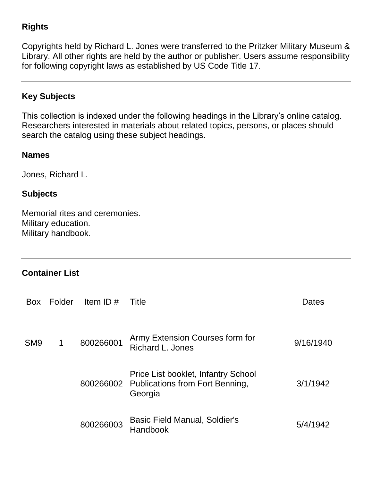## **Rights**

Copyrights held by Richard L. Jones were transferred to the Pritzker Military Museum & Library. All other rights are held by the author or publisher. Users assume responsibility for following copyright laws as established by US Code Title 17.

## **Key Subjects**

This collection is indexed under the following headings in the Library's online catalog. Researchers interested in materials about related topics, persons, or places should search the catalog using these subject headings.

#### **Names**

Jones, Richard L.

#### **Subjects**

Memorial rites and ceremonies. Military education. Military handbook.

### **Container List**

| <b>Box</b>      | Folder | Item ID $#$ | Title                                                                                       | Dates     |
|-----------------|--------|-------------|---------------------------------------------------------------------------------------------|-----------|
| SM <sub>9</sub> | 1      | 800266001   | Army Extension Courses form for<br><b>Richard L. Jones</b>                                  | 9/16/1940 |
|                 |        |             | Price List booklet, Infantry School<br>800266002 Publications from Fort Benning,<br>Georgia | 3/1/1942  |
|                 |        | 800266003   | Basic Field Manual, Soldier's<br><b>Handbook</b>                                            | 5/4/1942  |